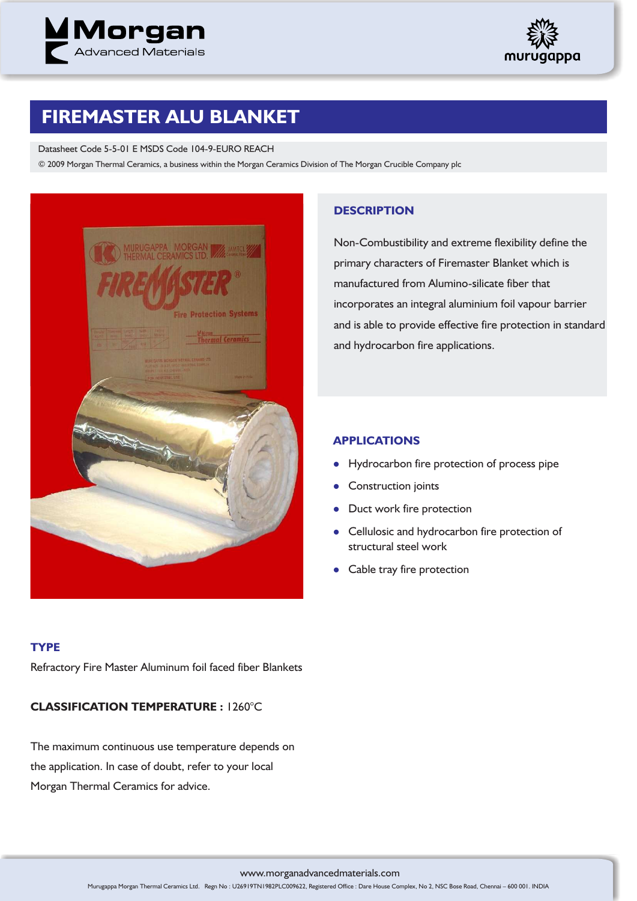



# **FIREMASTER ALU BLANKET**

#### Datasheet Code 5-5-01 E MSDS Code 104-9-EURO REACH

© 2009 Morgan Thermal Ceramics, a business within the Morgan Ceramics Division of The Morgan Crucible Company plc



### **DESCRIPTION**

Non-Combustibility and extreme flexibility define the primary characters of Firemaster Blanket which is manufactured from Alumino-silicate fiber that incorporates an integral aluminium foil vapour barrier and is able to provide effective fire protection in standard and hydrocarbon fire applications.

# **APPLICATIONS**

- $\bullet$ Hydrocarbon fire protection of process pipe
- $\bullet$ Construction joints
- $\bullet$ Duct work fire protection
- Cellulosic and hydrocarbon fire protection of structural steel work
- $\bullet$ Cable tray fire protection

### **TYPE**

Refractory Fire Master Aluminum foil faced fiber Blankets

# **CLASSIFICATION TEMPERATURE :** 1260°C

The maximum continuous use temperature depends on the application. In case of doubt, refer to your local Morgan Thermal Ceramics for advice.

www.morganadvancedmaterials.com